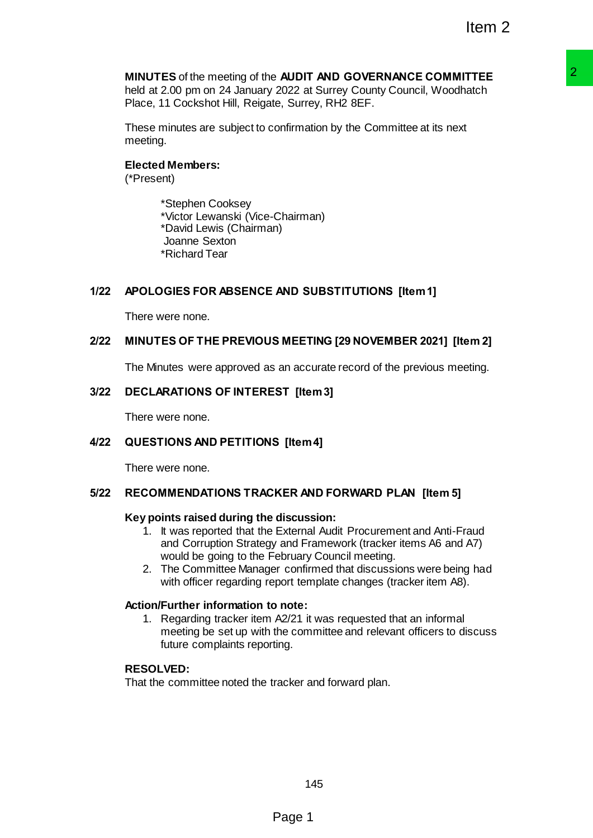# **MINUTES** of the meeting of the **AUDIT AND GOVERNANCE COMMITTEE**

held at 2.00 pm on 24 January 2022 at Surrey County Council, Woodhatch Place, 11 Cockshot Hill, Reigate, Surrey, RH2 8EF.

These minutes are subject to confirmation by the Committee at its next meeting.

## **Elected Members:**

(\*Present)

\*Stephen Cooksey \*Victor Lewanski (Vice-Chairman) \*David Lewis (Chairman) Joanne Sexton \*Richard Tear

## **1/22 APOLOGIES FOR ABSENCE AND SUBSTITUTIONS [Item 1]**

There were none.

#### **2/22 MINUTES OF THE PREVIOUS MEETING [29 NOVEMBER 2021] [Item 2]**

The Minutes were approved as an accurate record of the previous meeting.

#### **3/22 DECLARATIONS OF INTEREST [Item 3]**

There were none.

#### **4/22 QUESTIONS AND PETITIONS [Item 4]**

There were none.

#### **5/22 RECOMMENDATIONS TRACKER AND FORWARD PLAN [Item 5]**

#### **Key points raised during the discussion:**

- 1. It was reported that the External Audit Procurement and Anti-Fraud and Corruption Strategy and Framework (tracker items A6 and A7) would be going to the February Council meeting.
- 2. The Committee Manager confirmed that discussions were being had with officer regarding report template changes (tracker item A8).

#### **Action/Further information to note:**

1. Regarding tracker item A2/21 it was requested that an informal meeting be set up with the committee and relevant officers to discuss future complaints reporting. **a AUDIT AND GOVERNANCE COMMITTEE**<br>
2022 at Surrey County Council, Woodhatch<br>
to, Surrey, RH2 8EF.<br>
(c, Surrey, RH2 8EF.<br>
Confirmation by the Committee at its next<br>
confirmation by the Committee at its next<br>
Chairman)<br>
(h)

# **RESOLVED:**

That the committee noted the tracker and forward plan.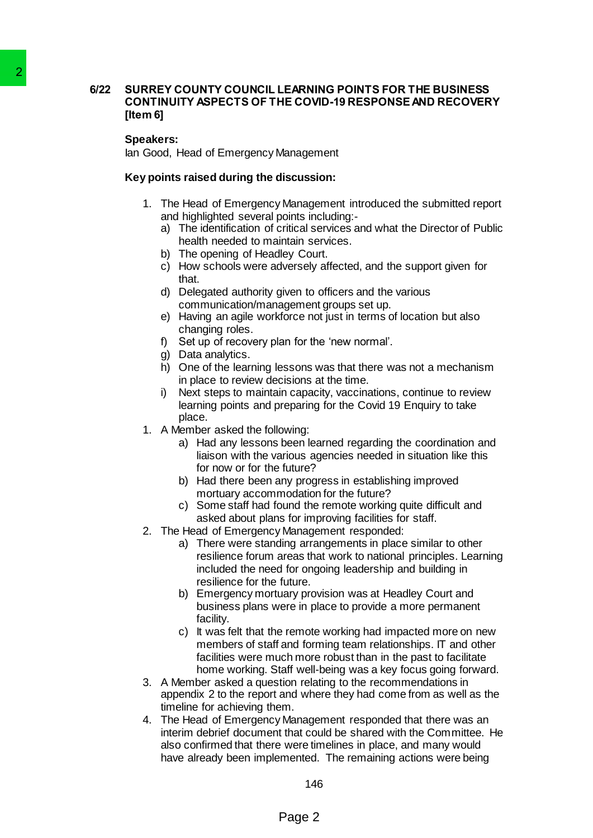# **6/22 SURREY COUNTY COUNCIL LEARNING POINTS FOR THE BUSINESS CONTINUITY ASPECTS OF THE COVID-19 RESPONSEAND RECOVERY [Item 6]** 2<br>
SURREY COUNTY COUNCIL LEARNI<br>
CONTINUITY ASPECTS OF THE COV<br>
Them 6]<br>
Speakers:<br>
Is an Good, Head of Emergency Managem<br>
Key points raised during the discussi<br>
1. The Head of Emergency Managem<br>
New Youth stated during th

#### **Speakers:**

Ian Good, Head of Emergency Management

#### **Key points raised during the discussion:**

- 1. The Head of Emergency Management introduced the submitted report and highlighted several points including:
	- a) The identification of critical services and what the Director of Public health needed to maintain services.
	- b) The opening of Headley Court.
	- c) How schools were adversely affected, and the support given for that.
	- d) Delegated authority given to officers and the various communication/management groups set up.
	- e) Having an agile workforce not just in terms of location but also changing roles.
	- f) Set up of recovery plan for the 'new normal'.
	- g) Data analytics.
	- h) One of the learning lessons was that there was not a mechanism in place to review decisions at the time.
	- i) Next steps to maintain capacity, vaccinations, continue to review learning points and preparing for the Covid 19 Enquiry to take place.
- 1. A Member asked the following:
	- a) Had any lessons been learned regarding the coordination and liaison with the various agencies needed in situation like this for now or for the future?
	- b) Had there been any progress in establishing improved mortuary accommodation for the future?
	- c) Some staff had found the remote working quite difficult and asked about plans for improving facilities for staff.
- 2. The Head of Emergency Management responded:
	- a) There were standing arrangements in place similar to other resilience forum areas that work to national principles. Learning included the need for ongoing leadership and building in resilience for the future.
	- b) Emergency mortuary provision was at Headley Court and business plans were in place to provide a more permanent facility.
	- c) It was felt that the remote working had impacted more on new members of staff and forming team relationships. IT and other facilities were much more robust than in the past to facilitate home working. Staff well-being was a key focus going forward.
- 3. A Member asked a question relating to the recommendations in appendix 2 to the report and where they had come from as well as the timeline for achieving them.
- 4. The Head of Emergency Management responded that there was an interim debrief document that could be shared with the Committee. He also confirmed that there were timelines in place, and many would have already been implemented. The remaining actions were being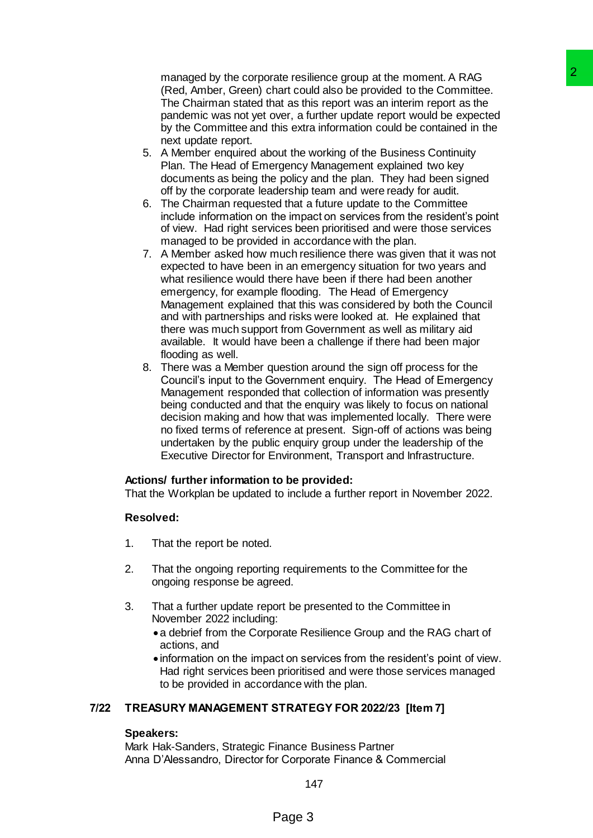managed by the corporate resilience group at the moment. A RAG (Red, Amber, Green) chart could also be provided to the Committee. The Chairman stated that as this report was an interim report as the pandemic was not yet over, a further update report would be expected by the Committee and this extra information could be contained in the next update report.

- 5. A Member enquired about the working of the Business Continuity Plan. The Head of Emergency Management explained two key documents as being the policy and the plan. They had been signed off by the corporate leadership team and were ready for audit.
- 6. The Chairman requested that a future update to the Committee include information on the impact on services from the resident's point of view. Had right services been prioritised and were those services managed to be provided in accordance with the plan.
- 7. A Member asked how much resilience there was given that it was not expected to have been in an emergency situation for two years and what resilience would there have been if there had been another emergency, for example flooding. The Head of Emergency Management explained that this was considered by both the Council and with partnerships and risks were looked at. He explained that there was much support from Government as well as military aid available. It would have been a challenge if there had been major flooding as well. ate resilience group at the moment A RAG<br>
and rould also be provided to the Committee.<br>
Year as this report was an interim report as the<br>
are stored as the provided to the Committee.<br>
Wer, a further update report would be
- 8. There was a Member question around the sign off process for the Council's input to the Government enquiry. The Head of Emergency Management responded that collection of information was presently being conducted and that the enquiry was likely to focus on national decision making and how that was implemented locally. There were no fixed terms of reference at present. Sign-off of actions was being undertaken by the public enquiry group under the leadership of the Executive Director for Environment, Transport and Infrastructure.

#### **Actions/ further information to be provided:**

That the Workplan be updated to include a further report in November 2022.

#### **Resolved:**

- 1. That the report be noted.
- 2. That the ongoing reporting requirements to the Committee for the ongoing response be agreed.
- 3. That a further update report be presented to the Committee in November 2022 including:
	- a debrief from the Corporate Resilience Group and the RAG chart of actions, and
	- $\bullet$  information on the impact on services from the resident's point of view. Had right services been prioritised and were those services managed to be provided in accordance with the plan.

#### **7/22 TREASURY MANAGEMENT STRATEGY FOR 2022/23 [Item 7]**

#### **Speakers:**

Mark Hak-Sanders, Strategic Finance Business Partner Anna D'Alessandro, Director for Corporate Finance & Commercial

147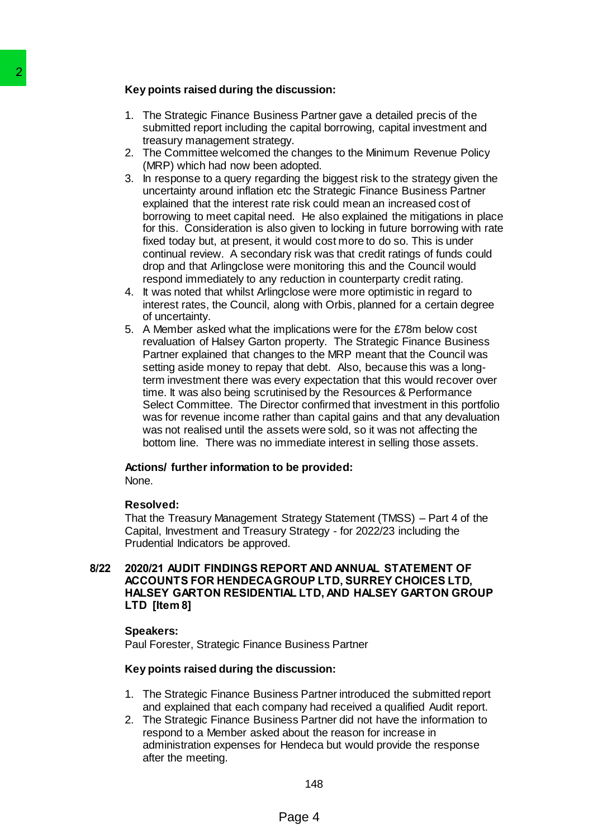#### **Key points raised during the discussion:**

- 1. The Strategic Finance Business Partner gave a detailed precis of the submitted report including the capital borrowing, capital investment and treasury management strategy.
- 2. The Committee welcomed the changes to the Minimum Revenue Policy (MRP) which had now been adopted.
- 3. In response to a query regarding the biggest risk to the strategy given the uncertainty around inflation etc the Strategic Finance Business Partner explained that the interest rate risk could mean an increased cost of borrowing to meet capital need. He also explained the mitigations in place for this. Consideration is also given to locking in future borrowing with rate fixed today but, at present, it would cost more to do so. This is under continual review. A secondary risk was that credit ratings of funds could drop and that Arlingclose were monitoring this and the Council would respond immediately to any reduction in counterparty credit rating.
- 4. It was noted that whilst Arlingclose were more optimistic in regard to interest rates, the Council, along with Orbis, planned for a certain degree of uncertainty.
- 5. A Member asked what the implications were for the £78m below cost revaluation of Halsey Garton property. The Strategic Finance Business Partner explained that changes to the MRP meant that the Council was setting aside money to repay that debt. Also, because this was a longterm investment there was every expectation that this would recover over time. It was also being scrutinised by the Resources & Performance Select Committee. The Director confirmed that investment in this portfolio was for revenue income rather than capital gains and that any devaluation was not realised until the assets were sold, so it was not affecting the bottom line. There was no immediate interest in selling those assets. Xey points raised during the discussi<br>
1. The Strategic Finance Business Par<br>
submitted report including the capital<br>
submitted report including the capital<br>
2. The Committee welcomed the change<br>
2. The Committee welcomed

# **Actions/ further information to be provided:**

None.

#### **Resolved:**

That the Treasury Management Strategy Statement (TMSS) – Part 4 of the Capital, Investment and Treasury Strategy - for 2022/23 including the Prudential Indicators be approved.

#### **8/22 2020/21 AUDIT FINDINGS REPORT AND ANNUAL STATEMENT OF ACCOUNTS FOR HENDECAGROUP LTD, SURREY CHOICES LTD, HALSEY GARTON RESIDENTIAL LTD, AND HALSEY GARTON GROUP LTD [Item 8]**

#### **Speakers:**

Paul Forester, Strategic Finance Business Partner

#### **Key points raised during the discussion:**

- 1. The Strategic Finance Business Partner introduced the submitted report and explained that each company had received a qualified Audit report.
- 2. The Strategic Finance Business Partner did not have the information to respond to a Member asked about the reason for increase in administration expenses for Hendeca but would provide the response after the meeting.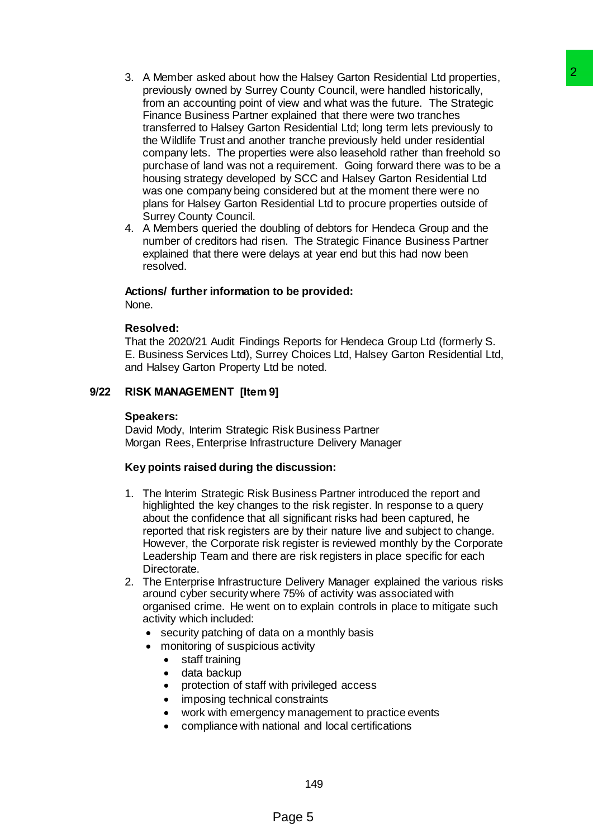- 3. A Member asked about how the Halsey Garton Residential Ltd properties, previously owned by Surrey County Council, were handled historically, from an accounting point of view and what was the future. The Strategic Finance Business Partner explained that there were two tranches transferred to Halsey Garton Residential Ltd; long term lets previously to the Wildlife Trust and another tranche previously held under residential company lets. The properties were also leasehold rather than freehold so purchase of land was not a requirement. Going forward there was to be a housing strategy developed by SCC and Halsey Garton Residential Ltd was one company being considered but at the moment there were no plans for Halsey Garton Residential Ltd to procure properties outside of Surrey County Council. w the Halsey Garton Residential Ltd properties,<br>
w County Council, were handled historically,<br>
view and what was the tuture. The Strategie<br>
systemial that there were two tranches<br>
systemial that there were two tranches<br>
sy
- 4. A Members queried the doubling of debtors for Hendeca Group and the number of creditors had risen. The Strategic Finance Business Partner explained that there were delays at year end but this had now been resolved.

#### **Actions/ further information to be provided:**

None.

#### **Resolved:**

That the 2020/21 Audit Findings Reports for Hendeca Group Ltd (formerly S. E. Business Services Ltd), Surrey Choices Ltd, Halsey Garton Residential Ltd, and Halsey Garton Property Ltd be noted.

#### **9/22 RISK MANAGEMENT [Item 9]**

#### **Speakers:**

David Mody, Interim Strategic Risk Business Partner Morgan Rees, Enterprise Infrastructure Delivery Manager

#### **Key points raised during the discussion:**

- 1. The Interim Strategic Risk Business Partner introduced the report and highlighted the key changes to the risk register. In response to a query about the confidence that all significant risks had been captured, he reported that risk registers are by their nature live and subject to change. However, the Corporate risk register is reviewed monthly by the Corporate Leadership Team and there are risk registers in place specific for each Directorate.
- 2. The Enterprise Infrastructure Delivery Manager explained the various risks around cyber security where 75% of activity was associated with organised crime. He went on to explain controls in place to mitigate such activity which included:
	- security patching of data on a monthly basis
	- monitoring of suspicious activity
		- staff training
		- data backup
		- protection of staff with privileged access
		- imposing technical constraints
		- work with emergency management to practice events
		- compliance with national and local certifications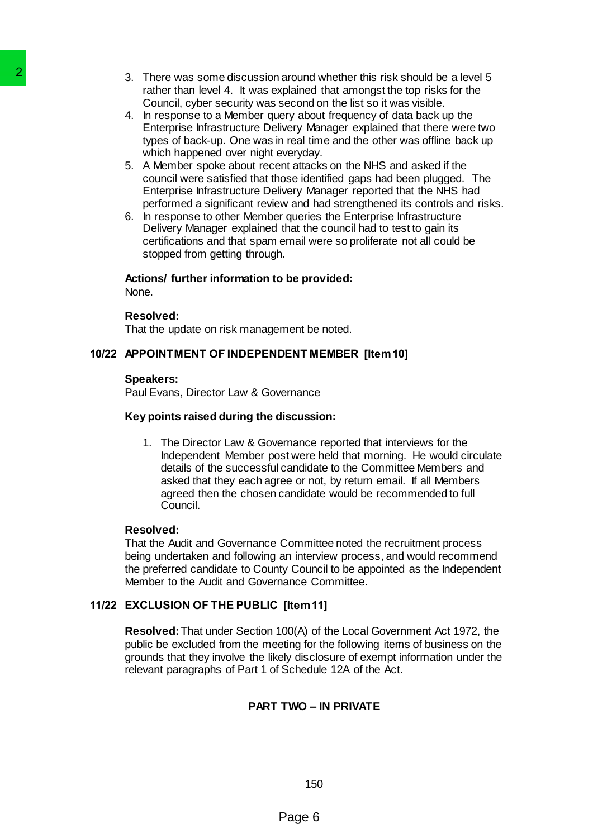- 3. There was some discussion around whether this risk should be a level 5 rather than level 4. It was explained that amongst the top risks for the Council, cyber security was second on the list so it was visible.
- 4. In response to a Member query about frequency of data back up the Enterprise Infrastructure Delivery Manager explained that there were two types of back-up. One was in real time and the other was offline back up which happened over night everyday.
- 5. A Member spoke about recent attacks on the NHS and asked if the council were satisfied that those identified gaps had been plugged. The Enterprise Infrastructure Delivery Manager reported that the NHS had performed a significant review and had strengthened its controls and risks.
- 6. In response to other Member queries the Enterprise Infrastructure Delivery Manager explained that the council had to test to gain its certifications and that spam email were so proliferate not all could be stopped from getting through.

#### **Actions/ further information to be provided:**

None.

#### **Resolved:**

That the update on risk management be noted.

#### **10/22 APPOINTMENT OF INDEPENDENT MEMBER [Item 10]**

#### **Speakers:**

Paul Evans, Director Law & Governance

#### **Key points raised during the discussion:**

1. The Director Law & Governance reported that interviews for the Independent Member post were held that morning. He would circulate details of the successful candidate to the Committee Members and asked that they each agree or not, by return email. If all Members agreed then the chosen candidate would be recommended to full Council. 2 There was some discussion around the Automatic Council, there are some discussion around Council (all the sponse to a Member query above the Enterprise Infrastructure Delivery Mexican properties threat the sponse of back

#### **Resolved:**

That the Audit and Governance Committee noted the recruitment process being undertaken and following an interview process, and would recommend the preferred candidate to County Council to be appointed as the Independent Member to the Audit and Governance Committee.

#### **11/22 EXCLUSION OF THE PUBLIC [Item 11]**

**Resolved:**That under Section 100(A) of the Local Government Act 1972, the public be excluded from the meeting for the following items of business on the grounds that they involve the likely disclosure of exempt information under the relevant paragraphs of Part 1 of Schedule 12A of the Act.

#### **PART TWO – IN PRIVATE**